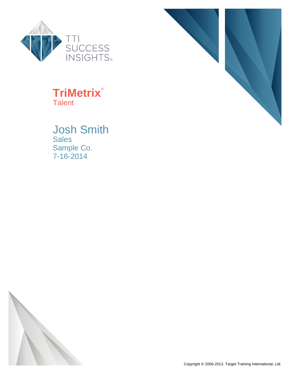

### **TriMetrix**® **Talent**

### Josh Smith Sales Sample Co. 7-16-2014



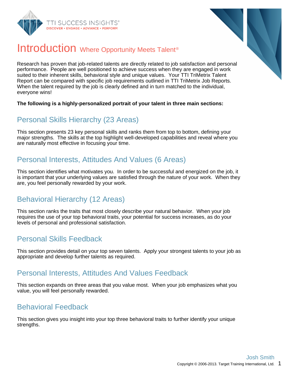



### Introduction Where Opportunity Meets Talent<sup>®</sup>

Research has proven that job-related talents are directly related to job satisfaction and personal performance. People are well positioned to achieve success when they are engaged in work suited to their inherent skills, behavioral style and unique values. Your TTI TriMetrix Talent Report can be compared with specific job requirements outlined in TTI TriMetrix Job Reports. When the talent required by the job is clearly defined and in turn matched to the individual, everyone wins!

#### **The following is a highly-personalized portrait of your talent in three main sections:**

### Personal Skills Hierarchy (23 Areas)

This section presents 23 key personal skills and ranks them from top to bottom, defining your major strengths. The skills at the top highlight well-developed capabilities and reveal where you are naturally most effective in focusing your time.

### Personal Interests, Attitudes And Values (6 Areas)

This section identifies what motivates you. In order to be successful and energized on the job, it is important that your underlying values are satisfied through the nature of your work. When they are, you feel personally rewarded by your work.

### Behavioral Hierarchy (12 Areas)

This section ranks the traits that most closely describe your natural behavior. When your job requires the use of your top behavioral traits, your potential for success increases, as do your levels of personal and professional satisfaction.

### Personal Skills Feedback

This section provides detail on your top seven talents. Apply your strongest talents to your job as appropriate and develop further talents as required.

### Personal Interests, Attitudes And Values Feedback

This section expands on three areas that you value most. When your job emphasizes what you value, you will feel personally rewarded.

### Behavioral Feedback

This section gives you insight into your top three behavioral traits to further identify your unique strengths.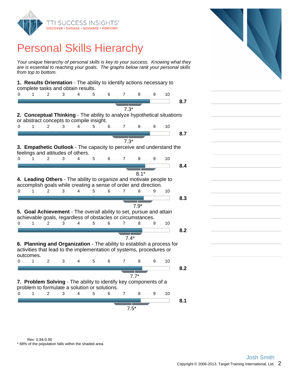

### Personal Skills Hierarchy

Your unique hierarchy of personal skills is key to your success. Knowing what they are is essential to reaching your goals. The graphs below rank your personal skills from top to bottom.

| 1. Results Orientation - The ability to identify actions necessary to<br>complete tasks and obtain results.<br>$0. \ldots 1 \ldots 2 \ldots 3 \ldots 4 \ldots 5 \ldots 6 \ldots 7 \ldots 8 \ldots 9 \ldots 10$ |     |
|----------------------------------------------------------------------------------------------------------------------------------------------------------------------------------------------------------------|-----|
|                                                                                                                                                                                                                |     |
|                                                                                                                                                                                                                | 8.7 |
| $7.3*$                                                                                                                                                                                                         |     |
| 2. Conceptual Thinking - The ability to analyze hypothetical situations<br>or abstract concepts to compile insight.                                                                                            |     |
| $0.1.1.1.1.1.2.1.1.3.1.1.4.1.1.5.1.1.6.1.1.7.1.1.8.1.1.9.1.10$                                                                                                                                                 |     |
|                                                                                                                                                                                                                | 8.7 |
|                                                                                                                                                                                                                |     |
| $7.3*$                                                                                                                                                                                                         |     |
| 3. Empathetic Outlook - The capacity to perceive and understand the<br>feelings and attitudes of others.                                                                                                       |     |
| $0.1.1.1.1.2.1.13.1.14.1.15.1.16.1.17.1.18.1.19.1.10$                                                                                                                                                          |     |
|                                                                                                                                                                                                                | 8.4 |
|                                                                                                                                                                                                                |     |
| $8.1*$                                                                                                                                                                                                         |     |
| 4. Leading Others - The ability to organize and motivate people to<br>accomplish goals while creating a sense of order and direction.                                                                          |     |
| 0. 1 2 3 4 5 6 7 8 9 10                                                                                                                                                                                        |     |
|                                                                                                                                                                                                                |     |
|                                                                                                                                                                                                                | 8.3 |
| $7.9*$                                                                                                                                                                                                         |     |
| 5. Goal Achievement - The overall ability to set, pursue and attain                                                                                                                                            |     |
| achievable goals, regardless of obstacles or circumstances.                                                                                                                                                    |     |
| $0.1.1.1.1.2.1.1.3.1.1.4.1.1.5.1.16.1.1.7.1.1.8.1.1.9.1.10$                                                                                                                                                    |     |
|                                                                                                                                                                                                                |     |
|                                                                                                                                                                                                                | 8.2 |
| $7.4*$                                                                                                                                                                                                         |     |
| 6. Planning and Organization - The ability to establish a process for                                                                                                                                          |     |
|                                                                                                                                                                                                                |     |
| activities that lead to the implementation of systems, procedures or                                                                                                                                           |     |
| outcomes.                                                                                                                                                                                                      |     |
| $0.1.1.1.1.2.1.13.1.14.1.15.1.16.1.17.1.18.1.19.1.10$                                                                                                                                                          |     |
|                                                                                                                                                                                                                | 8.2 |
| $7.7*$                                                                                                                                                                                                         |     |
|                                                                                                                                                                                                                |     |
| 7. Problem Solving - The ability to identify key components of a                                                                                                                                               |     |
| problem to formulate a solution or solutions.                                                                                                                                                                  |     |
| 0. 1 2 3 4 5 6 7 8 9 10                                                                                                                                                                                        |     |
|                                                                                                                                                                                                                | 8.1 |
|                                                                                                                                                                                                                |     |
| $7.5*$                                                                                                                                                                                                         |     |

\* 68% of the population falls within the shaded area. Rev: 0.94-0.90



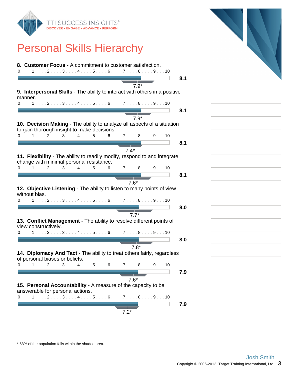

### Personal Skills Hierarchy



\* 68% of the population falls within the shaded area.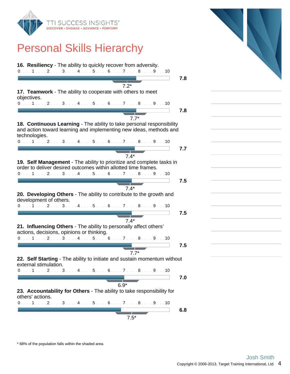

# Personal Skills Hierarchy

| 16. Resiliency - The ability to quickly recover from adversity.<br>0. 1 2 3 4 5 6 7 8 9 10                                                                                                             |     |
|--------------------------------------------------------------------------------------------------------------------------------------------------------------------------------------------------------|-----|
| $7.2*$                                                                                                                                                                                                 | 7.8 |
| 17. Teamwork - The ability to cooperate with others to meet<br>objectives.                                                                                                                             |     |
| $0.111111211131114111511161117111811191110$                                                                                                                                                            | 7.8 |
| $7.7*$<br>18. Continuous Learning - The ability to take personal responsibility<br>and action toward learning and implementing new ideas, methods and<br>technologies.<br>0. 1 2 3 4 5 6 7 8 9 10      |     |
| $7.4*$                                                                                                                                                                                                 | 7.7 |
| 19. Self Management - The ability to prioritize and complete tasks in<br>order to deliver desired outcomes within allotted time frames.<br>$0.1.1.1.1.2.1.1.3.1.1.4.1.1.5.1.16.1.1.7.1.1.8.1.1.9.1.10$ |     |
| $7.4*$                                                                                                                                                                                                 | 7.5 |
| 20. Developing Others - The ability to contribute to the growth and<br>development of others.<br>0. 1 2 3 4 5 6 7 8 9 10                                                                               |     |
| $7.4*$                                                                                                                                                                                                 | 7.5 |
| 21. Influencing Others - The ability to personally affect others'<br>actions, decisions, opinions or thinking.                                                                                         |     |
| $0.1.1.1.1.1.2.1.1.3.1.1.4.1.1.5.1.1.6.1.1.7.1.1.8.1.1.9.1.10$<br>$7.7*$                                                                                                                               | 7.5 |
| 22. Self Starting - The ability to initiate and sustain momentum without<br>external stimulation.                                                                                                      |     |
| 0. 1.1.1.2.1.3<br>. 4 5 6 7 8 9 10                                                                                                                                                                     | 7.0 |
| $6.9*$<br>23. Accountability for Others - The ability to take responsibility for<br>others' actions.                                                                                                   |     |
| 0. 1 2 3 4 5 6 7 8 9 10                                                                                                                                                                                | 6.8 |
| $7.5*$                                                                                                                                                                                                 |     |

\* 68% of the population falls within the shaded area.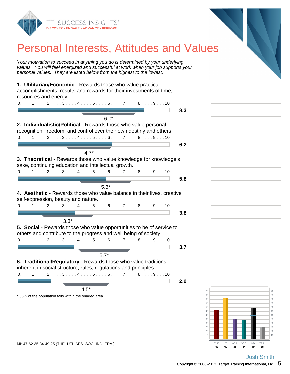

### Personal Interests, Attitudes and Values

Your motivation to succeed in anything you do is determined by your underlying values. You will feel energized and successful at work when your job supports your personal values. They are listed below from the highest to the lowest.

**1. Utilitarian/Economic** - Rewards those who value practical accomplishments, results and rewards for their investments of time, resources and energy.



\* 68% of the population falls within the shaded area.



**45 George Street August 2014 50 Second Structure 1 Second Structure 1** Second Structure 1 Second Structure 1 Second Structure 1 Second St **55 Strategies of the Community Contract of the Community Contract of the Community Contract of the Community** 60 **60** 60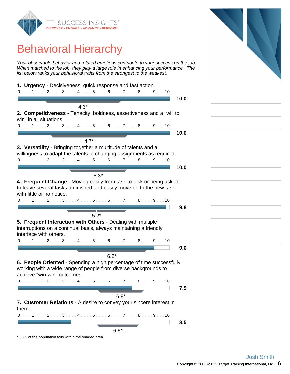

## Behavioral Hierarchy

Your observable behavior and related emotions contribute to your success on the job. When matched to the job, they play a large role in enhancing your performance. The list below ranks your behavioral traits from the strongest to the weakest.



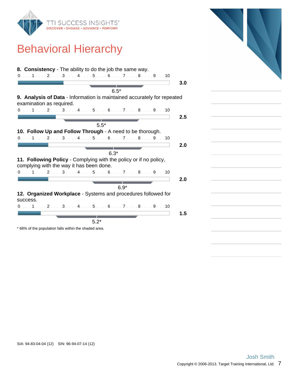

## Behavioral Hierarchy

|                                          | 8. Consistency - The ability to do the job the same way.<br>$0. \ldots 1 \ldots 2 \ldots 3 \ldots 4 \ldots 5 \ldots 6 \ldots 7 \ldots 8 \ldots 9 \ldots 10$ |
|------------------------------------------|-------------------------------------------------------------------------------------------------------------------------------------------------------------|
|                                          |                                                                                                                                                             |
|                                          | $6.5*$                                                                                                                                                      |
|                                          | 9. Analysis of Data - Information is maintained accurately for repeated                                                                                     |
| examination as required.                 |                                                                                                                                                             |
|                                          | $0.1.1.1.1.2.1.1.3.1.1.4.1.1.5.1.16.1.1.7.1.1.8.1.1.9.1.10$                                                                                                 |
|                                          |                                                                                                                                                             |
|                                          |                                                                                                                                                             |
|                                          | $5.5*$                                                                                                                                                      |
|                                          | 10. Follow Up and Follow Through - A need to be thorough.                                                                                                   |
|                                          | $0. \ldots 1 \ldots 2 \ldots 3 \ldots 4 \ldots 5 \ldots 6 \ldots 7 \ldots 8 \ldots 9 \ldots 10$                                                             |
|                                          |                                                                                                                                                             |
|                                          |                                                                                                                                                             |
|                                          | $6.3*$                                                                                                                                                      |
| complying with the way it has been done. | 11. Following Policy - Complying with the policy or if no policy,                                                                                           |
|                                          | 0. 1 2 3 4 5 6 7 8 9 10                                                                                                                                     |
|                                          |                                                                                                                                                             |
|                                          |                                                                                                                                                             |
|                                          | $6.9*$                                                                                                                                                      |
|                                          | 12. Organized Workplace - Systems and procedures followed for                                                                                               |
| success.                                 |                                                                                                                                                             |
|                                          | 0. 1 2 3 4 5 6 7 8 9 10                                                                                                                                     |
|                                          |                                                                                                                                                             |
|                                          |                                                                                                                                                             |
|                                          | $5.2*$                                                                                                                                                      |

\* 68% of the population falls within the shaded area.

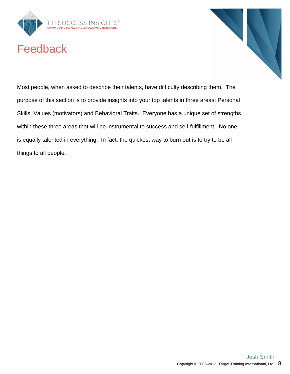

## Feedback



Most people, when asked to describe their talents, have difficulty describing them. The purpose of this section is to provide insights into your top talents in three areas: Personal Skills, Values (motivators) and Behavioral Traits. Everyone has a unique set of strengths within these three areas that will be instrumental to success and self-fulfillment. No one is equally talented in everything. In fact, the quickest way to burn out is to try to be all things to all people.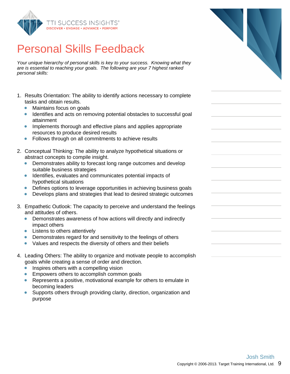

## Personal Skills Feedback

Your unique hierarchy of personal skills is key to your success. Knowing what they are is essential to reaching your goals. The following are your 7 highest ranked personal skills:

- 1. Results Orientation: The ability to identify actions necessary to complete tasks and obtain results.
	- $\bullet$ Maintains focus on goals
	- Identifies and acts on removing potential obstacles to successful goal attainment
	- Implements thorough and effective plans and applies appropriate  $\bullet$ resources to produce desired results
	- Follows through on all commitments to achieve results  $\bullet$
- 2. Conceptual Thinking: The ability to analyze hypothetical situations or abstract concepts to compile insight.
	- Demonstrates ability to forecast long range outcomes and develop suitable business strategies
	- Identifies, evaluates and communicates potential impacts of  $\bullet$ hypothetical situations
	- Defines options to leverage opportunities in achieving business goals  $\bullet$
	- Develops plans and strategies that lead to desired strategic outcomes  $\bullet$
- 3. Empathetic Outlook: The capacity to perceive and understand the feelings and attitudes of others.
	- Demonstrates awareness of how actions will directly and indirectly impact others
	- Listens to others attentively
	- Demonstrates regard for and sensitivity to the feelings of others  $\bullet$
	- Values and respects the diversity of others and their beliefs
- 4. Leading Others: The ability to organize and motivate people to accomplish goals while creating a sense of order and direction.
	- Inspires others with a compelling vision
	- Empowers others to accomplish common goals
	- Represents a positive, motivational example for others to emulate in becoming leaders
	- Supports others through providing clarity, direction, organization and purpose

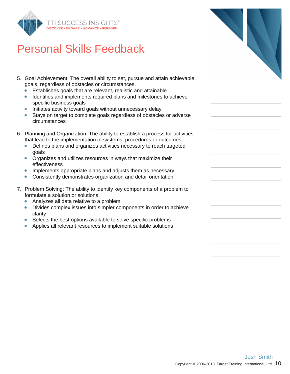

## Personal Skills Feedback

- 5. Goal Achievement: The overall ability to set, pursue and attain achievable goals, regardless of obstacles or circumstances.
	- Establishes goals that are relevant, realistic and attainable  $\bullet$
	- Identifies and implements required plans and milestones to achieve  $\bullet$ specific business goals
	- Initiates activity toward goals without unnecessary delay  $\bullet$
	- Stays on target to complete goals regardless of obstacles or adverse  $\bullet$ circumstances
- 6. Planning and Organization: The ability to establish a process for activities that lead to the implementation of systems, procedures or outcomes.
	- Defines plans and organizes activities necessary to reach targeted  $\bullet$ goals
	- **•** Organizes and utilizes resources in ways that maximize their effectiveness
	- $\bullet$ Implements appropriate plans and adjusts them as necessary
	- $\bullet$ Consistently demonstrates organization and detail orientation
- 7. Problem Solving: The ability to identify key components of a problem to formulate a solution or solutions.
	- Analyzes all data relative to a problem  $\bullet$
	- $\bullet$ Divides complex issues into simpler components in order to achieve clarity
	- Selects the best options available to solve specific problems
	- Applies all relevant resources to implement suitable solutions ŏ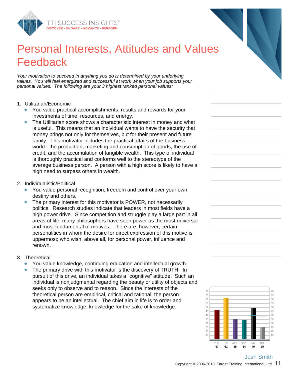

## Personal Interests, Attitudes and Values Feedback

Your motivation to succeed in anything you do is determined by your underlying values. You will feel energized and successful at work when your job supports your personal values. The following are your 3 highest ranked personal values:

#### 1. Utilitarian/Economic

- You value practical accomplishments, results and rewards for your investments of time, resources, and energy.
- The Utilitarian score shows a characteristic interest in money and what is useful. This means that an individual wants to have the security that money brings not only for themselves, but for their present and future family. This motivator includes the practical affairs of the business world - the production, marketing and consumption of goods, the use of credit, and the accumulation of tangible wealth. This type of individual is thoroughly practical and conforms well to the stereotype of the average business person. A person with a high score is likely to have a high need to surpass others in wealth.
- 2. Individualistic/Political
	- You value personal recognition, freedom and control over your own destiny and others.
	- The primary interest for this motivator is POWER, not necessarily politics. Research studies indicate that leaders in most fields have a high power drive. Since competition and struggle play a large part in all areas of life, many philosophers have seen power as the most universal and most fundamental of motives. There are, however, certain personalities in whom the desire for direct expression of this motive is uppermost; who wish, above all, for personal power, influence and renown.

#### 3. Theoretical

- You value knowledge, continuing education and intellectual growth.
- The primary drive with this motivator is the discovery of TRUTH. In  $\bullet$ pursuit of this drive, an individual takes a "cognitive" attitude. Such an individual is nonjudgmental regarding the beauty or utility of objects and seeks only to observe and to reason. Since the interests of the theoretical person are empirical, critical and rational, the person appears to be an intellectual. The chief aim in life is to order and systematize knowledge: knowledge for the sake of knowledge.

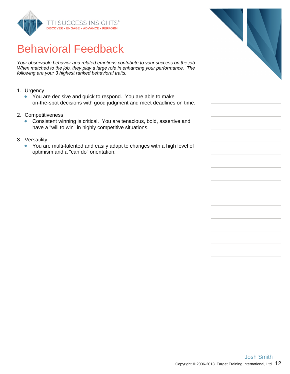

# Behavioral Feedback

Your observable behavior and related emotions contribute to your success on the job. When matched to the job, they play a large role in enhancing your performance. The following are your 3 highest ranked behavioral traits:

- 1. Urgency
	- You are decisive and quick to respond. You are able to make on-the-spot decisions with good judgment and meet deadlines on time.
- 2. Competitiveness
	- Consistent winning is critical. You are tenacious, bold, assertive and have a "will to win" in highly competitive situations.
- 3. Versatility
	- You are multi-talented and easily adapt to changes with a high level of  $\bullet$ optimism and a "can do" orientation.

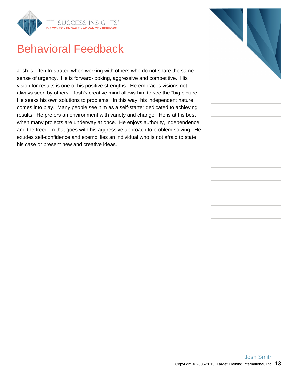

### Behavioral Feedback

Josh is often frustrated when working with others who do not share the same sense of urgency. He is forward-looking, aggressive and competitive. His vision for results is one of his positive strengths. He embraces visions not always seen by others. Josh's creative mind allows him to see the "big picture." He seeks his own solutions to problems. In this way, his independent nature comes into play. Many people see him as a self-starter dedicated to achieving results. He prefers an environment with variety and change. He is at his best when many projects are underway at once. He enjoys authority, independence and the freedom that goes with his aggressive approach to problem solving. He exudes self-confidence and exemplifies an individual who is not afraid to state his case or present new and creative ideas.

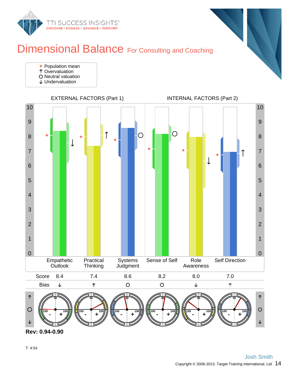

### Dimensional Balance For Consulting and Coaching



- Overvaluation
- O Neutral valuation
- Undervaluation





**Rev: 0.94-0.90**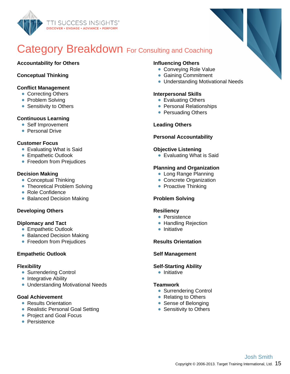

## Category Breakdown For Consulting and Coaching

#### **Accountability for Others**

#### **Conceptual Thinking**

#### **Conflict Management**

- Correcting Others
- Problem Solving
- Sensitivity to Others

#### **Continuous Learning**

- Self Improvement
- **Personal Drive**

#### **Customer Focus**

- Evaluating What is Said
- **Empathetic Outlook**
- **Freedom from Prejudices**

#### **Decision Making**

- Conceptual Thinking
- Theoretical Problem Solving
- Role Confidence
- Balanced Decision Making

#### **Developing Others**

#### **Diplomacy and Tact**

- **Empathetic Outlook**
- Balanced Decision Making
- **Freedom from Prejudices**

#### **Empathetic Outlook**

#### **Flexibility**

- **Surrendering Control**
- Integrative Ability
- Understanding Motivational Needs

#### **Goal Achievement**

- Results Orientation
- Realistic Personal Goal Setting
- Project and Goal Focus
- **Persistence**

#### **Influencing Others**

- Conveying Role Value
- **Gaining Commitment**
- Understanding Motivational Needs

#### **Interpersonal Skills**

- Evaluating Others
- Personal Relationships
- Persuading Others

#### **Leading Others**

#### **Personal Accountability**

#### **Objective Listening**

**Evaluating What is Said** 

#### **Planning and Organization**

- Long Range Planning
- Concrete Organization
- Proactive Thinking

#### **Problem Solving**

#### **Resiliency**

- Persistence
- Handling Rejection
- $\bullet$  Initiative

#### **Results Orientation**

#### **Self Management**

#### **Self-Starting Ability**

**•** Initiative

#### **Teamwork**

- Surrendering Control
- Relating to Others
- Sense of Belonging
- Sensitivity to Others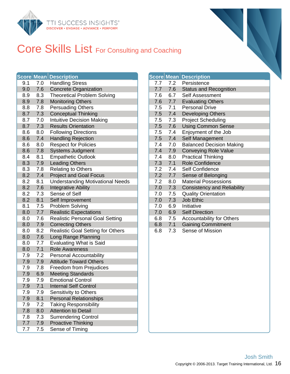

## Core Skills List For Consulting and Coaching

|     |     | <b>Score Mean Description</b>            |     |     | <b>Score Mean Description</b> |
|-----|-----|------------------------------------------|-----|-----|-------------------------------|
| 9.1 | 7.0 | <b>Handling Stress</b>                   | 7.7 | 7.2 | Persistence                   |
| 9.0 | 7.6 | <b>Concrete Organization</b>             | 7.7 | 7.6 | Status and F                  |
| 8.9 | 8.3 | <b>Theoretical Problem Solving</b>       | 7.6 | 6.7 | Self Assessi                  |
| 8.9 | 7.8 | <b>Monitoring Others</b>                 | 7.6 | 7.7 | <b>Evaluating C</b>           |
| 8.8 | 7.8 | <b>Persuading Others</b>                 | 7.5 | 7.1 | Personal Dri                  |
| 8.7 | 7.3 | <b>Conceptual Thinking</b>               | 7.5 | 7.4 | Developing                    |
| 8.7 | 7.0 | <b>Intuitive Decision Making</b>         | 7.5 | 7.3 | Project Sche                  |
| 8.7 | 7.3 | <b>Results Orientation</b>               | 7.5 | 7.6 | <b>Using Comn</b>             |
| 8.6 | 8.0 | <b>Following Directions</b>              | 7.5 | 7.4 | Enjoyment c                   |
| 8.6 | 7.4 | <b>Handling Rejection</b>                | 7.5 | 7.4 | Self Manage                   |
| 8.6 | 8.0 | <b>Respect for Policies</b>              | 7.4 | 7.0 | Balanced De                   |
| 8.6 | 7.8 | <b>Systems Judgment</b>                  | 7.4 | 7.9 | <b>Conveying F</b>            |
| 8.4 | 8.1 | <b>Empathetic Outlook</b>                | 7.4 | 8.0 | <b>Practical Thi</b>          |
| 8.3 | 7.9 | <b>Leading Others</b>                    | 7.3 | 7.1 | Role Confid                   |
| 8.3 | 7.8 | <b>Relating to Others</b>                | 7.2 | 7.4 | Self Confide                  |
| 8.2 | 7.4 | <b>Project and Goal Focus</b>            | 7.2 | 7.7 | Sense of Be                   |
| 8.2 | 8.1 | <b>Understanding Motivational Needs</b>  | 7.2 | 8.0 | <b>Material Pos</b>           |
| 8.2 | 7.6 | <b>Integrative Ability</b>               | 7.0 | 7.3 | Consistency                   |
| 8.2 | 7.3 | Sense of Self                            | 7.0 | 7.5 | <b>Quality Orie</b>           |
| 8.2 | 8.1 | Self Improvement                         | 7.0 | 7.3 | Job Ethic                     |
| 8.1 | 7.5 | Problem Solving                          | 7.0 | 6.9 | Initiative                    |
| 8.0 | 7.7 | <b>Realistic Expectations</b>            | 7.0 | 6.9 | <b>Self Directio</b>          |
| 8.0 | 7.6 | <b>Realistic Personal Goal Setting</b>   | 6.8 | 7.5 | Accountabili                  |
| 8.0 | 7.9 | <b>Correcting Others</b>                 | 6.8 | 7.1 | <b>Gaining Cor</b>            |
| 8.0 | 8.2 | <b>Realistic Goal Setting for Others</b> | 6.8 | 7.3 | Sense of Mi                   |
| 8.0 | 7.6 | Long Range Planning                      |     |     |                               |
| 8.0 | 7.7 | <b>Evaluating What is Said</b>           |     |     |                               |
| 8.0 | 7.1 | <b>Role Awareness</b>                    |     |     |                               |
| 7.9 | 7.2 | <b>Personal Accountability</b>           |     |     |                               |
| 7.9 | 7.9 | <b>Attitude Toward Others</b>            |     |     |                               |
| 7.9 | 7.8 | Freedom from Prejudices                  |     |     |                               |
| 7.9 | 6.9 | <b>Meeting Standards</b>                 |     |     |                               |
| 7.9 | 7.9 | <b>Emotional Control</b>                 |     |     |                               |
| 7.9 | 7.1 | <b>Internal Self Control</b>             |     |     |                               |
| 7.9 | 7.9 | Sensitivity to Others                    |     |     |                               |
| 7.9 | 8.1 | <b>Personal Relationships</b>            |     |     |                               |
| 7.9 | 7.2 | <b>Taking Responsibility</b>             |     |     |                               |
| 7.8 | 8.0 | <b>Attention to Detail</b>               |     |     |                               |
| 7.8 | 7.3 | <b>Surrendering Control</b>              |     |     |                               |
| 7.7 | 7.9 | <b>Proactive Thinking</b>                |     |     |                               |
| 7.7 | 7.5 | Sense of Timing                          |     |     |                               |

|     |             | <b>Score Mean Description</b>      |
|-----|-------------|------------------------------------|
|     | $7.7$ $7.2$ | Persistence                        |
| 7.7 | 7.6         | <b>Status and Recognition</b>      |
| 7.6 | 6.7         | <b>Self Assessment</b>             |
| 7.6 | 7.7         | <b>Evaluating Others</b>           |
| 7.5 | 7.1         | <b>Personal Drive</b>              |
|     | $7.5$ $7.4$ | <b>Developing Others</b>           |
| 7.5 | 7.3         | <b>Project Scheduling</b>          |
| 7.5 | 7.6         | <b>Using Common Sense</b>          |
| 7.5 | 7.4         | Enjoyment of the Job               |
|     | $7.5$ $7.4$ | Self Management                    |
| 7.4 | 7.0         | <b>Balanced Decision Making</b>    |
| 7.4 | 7.9         | <b>Conveying Role Value</b>        |
| 7.4 | 8.0         | <b>Practical Thinking</b>          |
| 7.3 | 7.1         | <b>Role Confidence</b>             |
| 7.2 | 7.4         | Self Confidence                    |
|     | $7.2$ $7.7$ | Sense of Belonging                 |
| 7.2 | 8.0         | <b>Material Possessions</b>        |
| 7.0 | 7.3         | <b>Consistency and Reliability</b> |
| 7.0 | 7.5         | <b>Quality Orientation</b>         |
| 7.0 | 7.3         | <b>Job Ethic</b>                   |
| 7.0 | 6.9         | Initiative                         |
| 7.0 | 6.9         | <b>Self Direction</b>              |
| 6.8 | 7.5         | <b>Accountability for Others</b>   |
| 6.8 | 7.1         | <b>Gaining Commitment</b>          |
| 6.8 | 7.3         | Sense of Mission                   |
|     |             |                                    |